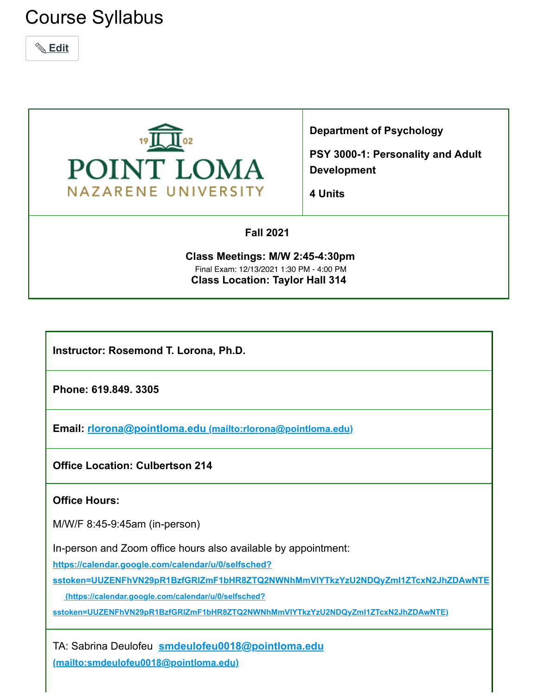# Course Syllabus

 **[Edit](#page--1-0)**



**Department of Psychology**

**PSY 3000-1: Personality and Adult Development**

**4 Units**

### **Fall 2021**

**Class Meetings: M/W 2:45-4:30pm Class Location: Taylor Hall 314** Final Exam: 12/13/2021 1:30 PM - 4:00 PM

**Instructor: Rosemond T. Lorona, Ph.D.**

**Phone: 619.849. 3305**

**Email: rlorona@pointloma.edu [\(mailto:rlorona@pointloma.edu\)](mailto:rlorona@pointloma.edu)**

**Office Location: Culbertson 214**

### **Office Hours:**

M/W/F 8:45-9:45am (in-person)

In-person and Zoom office hours also available by appointment:

**https://calendar.google.com/calendar/u/0/selfsched?**

**[sstoken=UUZENFhVN29pR1BzfGRlZmF1bHR8ZTQ2NWNhMmVlYTkzYzU2NDQyZmI1ZTcxN2JhZDAwNTE](https://calendar.google.com/calendar/u/0/selfsched?sstoken=UUZENFhVN29pR1BzfGRlZmF1bHR8ZTQ2NWNhMmVlYTkzYzU2NDQyZmI1ZTcxN2JhZDAwNTE)**

 **(https://calendar.google.com/calendar/u/0/selfsched?**

**sstoken=UUZENFhVN29pR1BzfGRlZmF1bHR8ZTQ2NWNhMmVlYTkzYzU2NDQyZmI1ZTcxN2JhZDAwNTE)**

TA: Sabrina Deulofeu **smdeulofeu0018@pointloma.edu [\(mailto:smdeulofeu0018@pointloma.edu\)](mailto:smdeulofeu0018@pointloma.edu)**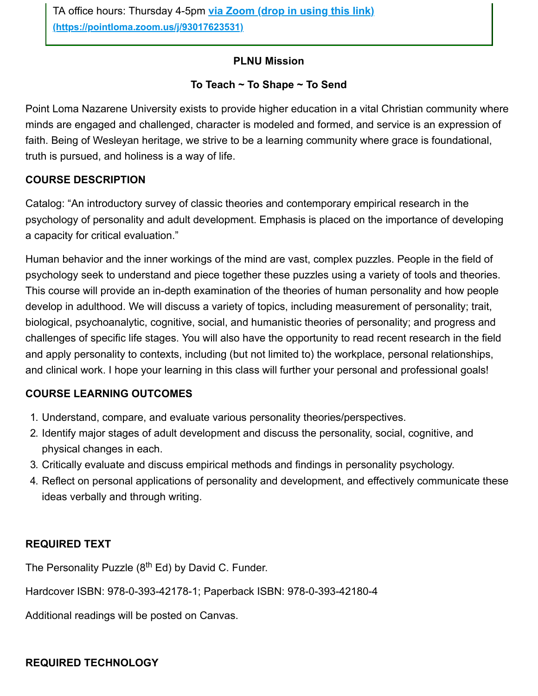### **PLNU Mission**

### **To Teach ~ To Shape ~ To Send**

Point Loma Nazarene University exists to provide higher education in a vital Christian community where minds are engaged and challenged, character is modeled and formed, and service is an expression of faith. Being of Wesleyan heritage, we strive to be a learning community where grace is foundational, truth is pursued, and holiness is a way of life.

## **COURSE DESCRIPTION**

Catalog: "An introductory survey of classic theories and contemporary empirical research in the psychology of personality and adult development. Emphasis is placed on the importance of developing a capacity for critical evaluation."

Human behavior and the inner workings of the mind are vast, complex puzzles. People in the field of psychology seek to understand and piece together these puzzles using a variety of tools and theories. This course will provide an in-depth examination of the theories of human personality and how people develop in adulthood. We will discuss a variety of topics, including measurement of personality; trait, biological, psychoanalytic, cognitive, social, and humanistic theories of personality; and progress and challenges of specific life stages. You will also have the opportunity to read recent research in the field and apply personality to contexts, including (but not limited to) the workplace, personal relationships, and clinical work. I hope your learning in this class will further your personal and professional goals!

## **COURSE LEARNING OUTCOMES**

- 1. Understand, compare, and evaluate various personality theories/perspectives.
- 2. Identify major stages of adult development and discuss the personality, social, cognitive, and physical changes in each.
- 3. Critically evaluate and discuss empirical methods and findings in personality psychology.
- 4. Reflect on personal applications of personality and development, and effectively communicate these ideas verbally and through writing.

## **REQUIRED TEXT**

The Personality Puzzle (8<sup>th</sup> Ed) by David C. Funder.

Hardcover ISBN: 978-0-393-42178-1; Paperback ISBN: 978-0-393-42180-4

Additional readings will be posted on Canvas.

## **REQUIRED TECHNOLOGY**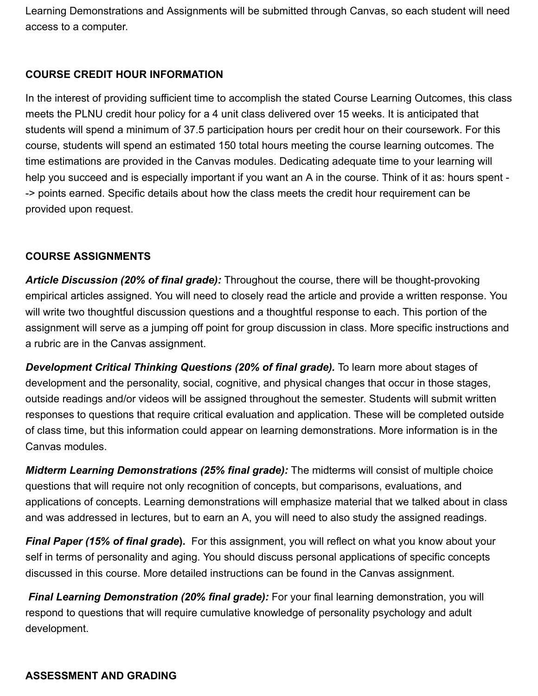Learning Demonstrations and Assignments will be submitted through Canvas, so each student will need access to a computer.

## **COURSE CREDIT HOUR INFORMATION**

In the interest of providing sufficient time to accomplish the stated Course Learning Outcomes, this class meets the PLNU credit hour policy for a 4 unit class delivered over 15 weeks. It is anticipated that students will spend a minimum of 37.5 participation hours per credit hour on their coursework. For this course, students will spend an estimated 150 total hours meeting the course learning outcomes. The time estimations are provided in the Canvas modules. Dedicating adequate time to your learning will help you succeed and is especially important if you want an A in the course. Think of it as: hours spent - -> points earned. Specific details about how the class meets the credit hour requirement can be provided upon request.

### **COURSE ASSIGNMENTS**

*Article Discussion (20% of final grade):* Throughout the course, there will be thought-provoking empirical articles assigned. You will need to closely read the article and provide a written response. You will write two thoughtful discussion questions and a thoughtful response to each. This portion of the assignment will serve as a jumping off point for group discussion in class. More specific instructions and a rubric are in the Canvas assignment.

*Development Critical Thinking Questions (20% of final grade).* To learn more about stages of development and the personality, social, cognitive, and physical changes that occur in those stages, outside readings and/or videos will be assigned throughout the semester. Students will submit written responses to questions that require critical evaluation and application. These will be completed outside of class time, but this information could appear on learning demonstrations. More information is in the Canvas modules.

*Midterm Learning Demonstrations (25% final grade):* The midterms will consist of multiple choice questions that will require not only recognition of concepts, but comparisons, evaluations, and applications of concepts. Learning demonstrations will emphasize material that we talked about in class and was addressed in lectures, but to earn an A, you will need to also study the assigned readings.

*Final Paper (15% of final grade***).** For this assignment, you will reflect on what you know about your self in terms of personality and aging. You should discuss personal applications of specific concepts discussed in this course. More detailed instructions can be found in the Canvas assignment.

*Final Learning Demonstration (20% final grade):* For your final learning demonstration, you will respond to questions that will require cumulative knowledge of personality psychology and adult development.

### **ASSESSMENT AND GRADING**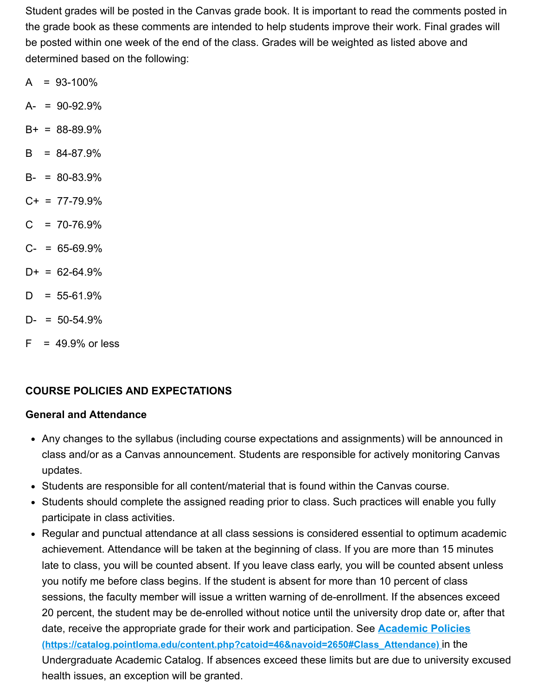Student grades will be posted in the Canvas grade book. It is important to read the comments posted in the grade book as these comments are intended to help students improve their work. Final grades will be posted within one week of the end of the class. Grades will be weighted as listed above and determined based on the following:

- $A = 93-100\%$
- $A- = 90-92.9%$
- $B+ = 88-89.9%$
- $B = 84-87.9%$
- $B- = 80-83.9%$
- $C+ = 77-79.9%$
- $C = 70-76.9%$
- $C- = 65-69.9%$
- $D+ = 62-64.9%$
- $D = 55-61.9%$
- $D- = 50-54.9%$
- $F = 49.9\%$  or less

## **COURSE POLICIES AND EXPECTATIONS**

### **General and Attendance**

- Any changes to the syllabus (including course expectations and assignments) will be announced in class and/or as a Canvas announcement. Students are responsible for actively monitoring Canvas updates.
- Students are responsible for all content/material that is found within the Canvas course.
- Students should complete the assigned reading prior to class. Such practices will enable you fully participate in class activities.
- Regular and punctual attendance at all class sessions is considered essential to optimum academic achievement. Attendance will be taken at the beginning of class. If you are more than 15 minutes late to class, you will be counted absent. If you leave class early, you will be counted absent unless you notify me before class begins. If the student is absent for more than 10 percent of class sessions, the faculty member will issue a written warning of de-enrollment. If the absences exceed 20 percent, the student may be de-enrolled without notice until the university drop date or, after that date, receive the appropriate grade for their work and participation. See **Academic Policies [\(https://catalog.pointloma.edu/content.php?catoid=46&navoid=2650#Class\\_Attendance\)](https://catalog.pointloma.edu/content.php?catoid=46&navoid=2650#Class_Attendance)** in the Undergraduate Academic Catalog. If absences exceed these limits but are due to university excused health issues, an exception will be granted.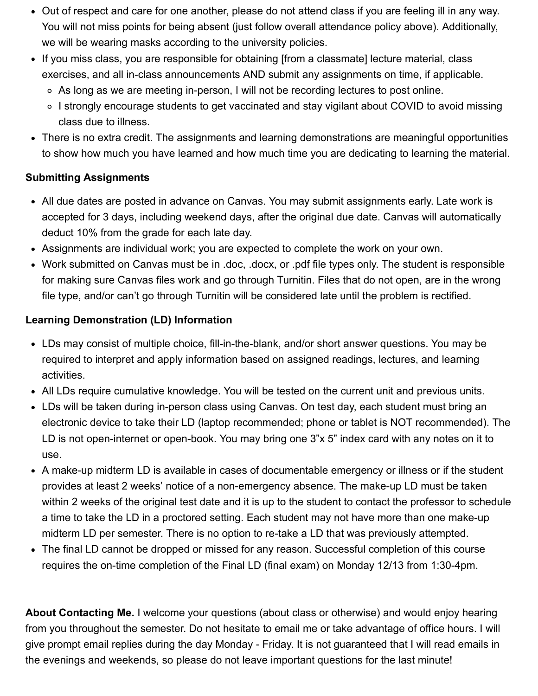- Out of respect and care for one another, please do not attend class if you are feeling ill in any way. You will not miss points for being absent (just follow overall attendance policy above). Additionally, we will be wearing masks according to the university policies.
- If you miss class, you are responsible for obtaining [from a classmate] lecture material, class exercises, and all in-class announcements AND submit any assignments on time, if applicable.
	- As long as we are meeting in-person, I will not be recording lectures to post online.
	- ∘ I strongly encourage students to get vaccinated and stay vigilant about COVID to avoid missing class due to illness.
- There is no extra credit. The assignments and learning demonstrations are meaningful opportunities to show how much you have learned and how much time you are dedicating to learning the material.

# **Submitting Assignments**

- All due dates are posted in advance on Canvas. You may submit assignments early. Late work is accepted for 3 days, including weekend days, after the original due date. Canvas will automatically deduct 10% from the grade for each late day.
- Assignments are individual work; you are expected to complete the work on your own.
- Work submitted on Canvas must be in .doc, .docx, or .pdf file types only. The student is responsible for making sure Canvas files work and go through Turnitin. Files that do not open, are in the wrong file type, and/or can't go through Turnitin will be considered late until the problem is rectified.

# **Learning Demonstration (LD) Information**

- LDs may consist of multiple choice, fill-in-the-blank, and/or short answer questions. You may be required to interpret and apply information based on assigned readings, lectures, and learning activities.
- All LDs require cumulative knowledge. You will be tested on the current unit and previous units.
- LDs will be taken during in-person class using Canvas. On test day, each student must bring an electronic device to take their LD (laptop recommended; phone or tablet is NOT recommended). The LD is not open-internet or open-book. You may bring one 3"x 5" index card with any notes on it to use.
- A make-up midterm LD is available in cases of documentable emergency or illness or if the student provides at least 2 weeks' notice of a non-emergency absence. The make-up LD must be taken within 2 weeks of the original test date and it is up to the student to contact the professor to schedule a time to take the LD in a proctored setting. Each student may not have more than one make-up midterm LD per semester. There is no option to re-take a LD that was previously attempted.
- The final LD cannot be dropped or missed for any reason. Successful completion of this course requires the on-time completion of the Final LD (final exam) on Monday 12/13 from 1:30-4pm.

**About Contacting Me.** I welcome your questions (about class or otherwise) and would enjoy hearing from you throughout the semester. Do not hesitate to email me or take advantage of office hours. I will give prompt email replies during the day Monday - Friday. It is not guaranteed that I will read emails in the evenings and weekends, so please do not leave important questions for the last minute!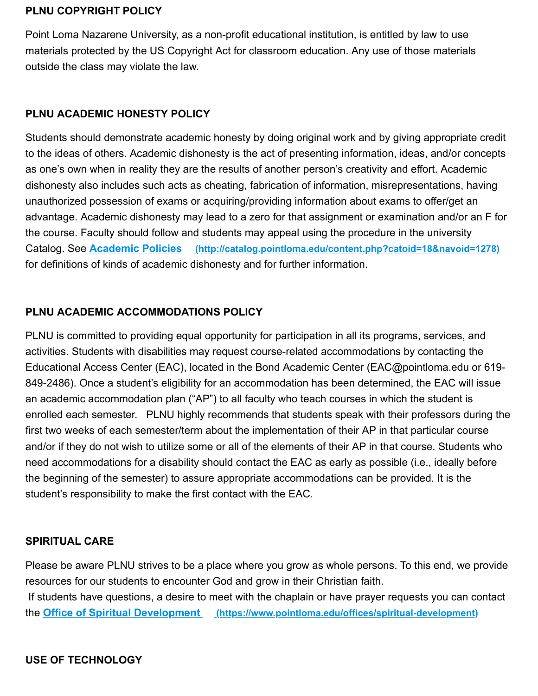#### **PLNU COPYRIGHT POLICY**

Point Loma Nazarene University, as a non-profit educational institution, is entitled by law to use materials protected by the US Copyright Act for classroom education. Any use of those materials outside the class may violate the law.

#### **PLNU ACADEMIC HONESTY POLICY**

Students should demonstrate academic honesty by doing original work and by giving appropriate credit to the ideas of others. Academic dishonesty is the act of presenting information, ideas, and/or concepts as one's own when in reality they are the results of another person's creativity and effort. Academic dishonesty also includes such acts as cheating, fabrication of information, misrepresentations, having unauthorized possession of exams or acquiring/providing information about exams to offer/get an advantage. Academic dishonesty may lead to a zero for that assignment or examination and/or an F for the course. Faculty should follow and students may appeal using the procedure in the university Catalog. See **Academic Policies [\(http://catalog.pointloma.edu/content.php?catoid=18&navoid=1278\)](http://catalog.pointloma.edu/content.php?catoid=18&navoid=1278)** for definitions of kinds of academic dishonesty and for further information.

### **PLNU ACADEMIC ACCOMMODATIONS POLICY**

PLNU is committed to providing equal opportunity for participation in all its programs, services, and activities. Students with disabilities may request course-related accommodations by contacting the Educational Access Center (EAC), located in the Bond Academic Center (EAC@pointloma.edu or 619- 849-2486). Once a student's eligibility for an accommodation has been determined, the EAC will issue an academic accommodation plan ("AP") to all faculty who teach courses in which the student is enrolled each semester. PLNU highly recommends that students speak with their professors during the first two weeks of each semester/term about the implementation of their AP in that particular course and/or if they do not wish to utilize some or all of the elements of their AP in that course. Students who need accommodations for a disability should contact the EAC as early as possible (i.e., ideally before the beginning of the semester) to assure appropriate accommodations can be provided. It is the student's responsibility to make the first contact with the EAC.

### **SPIRITUAL CARE**

Please be aware PLNU strives to be a place where you grow as whole persons. To this end, we provide resources for our students to encounter God and grow in their Christian faith. If students have questions, a desire to meet with the chaplain or have prayer requests you can contact the **Office of Spiritual Development [\(https://www.pointloma.edu/offices/spiritual-development\)](https://www.pointloma.edu/offices/spiritual-development)**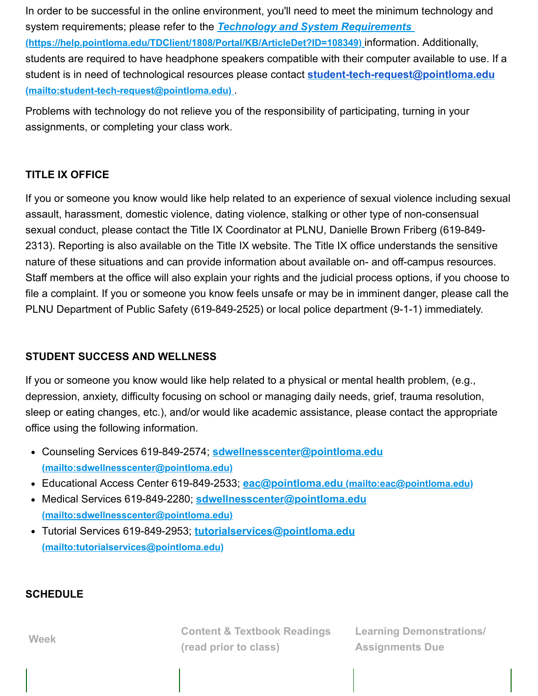In order to be successful in the online environment, you'll need to meet the minimum technology and system requirements; please refer to the *Technology and System Requirements*  **[\(https://help.pointloma.edu/TDClient/1808/Portal/KB/ArticleDet?ID=108349\)](https://help.pointloma.edu/TDClient/1808/Portal/KB/ArticleDet?ID=108349)** information. Additionally, students are required to have headphone speakers compatible with their computer available to use. If a [student is in need of technological resources please contact](mailto:student-tech-request@pointloma.edu) **student-tech-request@pointloma.edu (mailto:student-tech-request@pointloma.edu)** .

Problems with technology do not relieve you of the responsibility of participating, turning in your assignments, or completing your class work.

### **TITLE IX OFFICE**

If you or someone you know would like help related to an experience of sexual violence including sexual assault, harassment, domestic violence, dating violence, stalking or other type of non-consensual sexual conduct, please contact the Title IX Coordinator at PLNU, Danielle Brown Friberg (619-849- 2313). Reporting is also available on the Title IX website. The Title IX office understands the sensitive nature of these situations and can provide information about available on- and off-campus resources. Staff members at the office will also explain your rights and the judicial process options, if you choose to file a complaint. If you or someone you know feels unsafe or may be in imminent danger, please call the PLNU Department of Public Safety (619-849-2525) or local police department (9-1-1) immediately.

### **STUDENT SUCCESS AND WELLNESS**

If you or someone you know would like help related to a physical or mental health problem, (e.g., depression, anxiety, difficulty focusing on school or managing daily needs, grief, trauma resolution, sleep or eating changes, etc.), and/or would like academic assistance, please contact the appropriate office using the following information.

- Counseling Services 619-849-2574; **[sdwellnesscenter@pointloma.edu](mailto:sdwellnesscenter@pointloma.edu) (mailto:sdwellnesscenter@pointloma.edu)**
- Educational Access Center 619-849-2533; **eac@pointloma.edu [\(mailto:eac@pointloma.edu\)](mailto:eac@pointloma.edu)**
- Medical Services 619-849-2280; **sdwellnesscenter@pointloma.edu [\(mailto:sdwellnesscenter@pointloma.edu\)](mailto:sdwellnesscenter@pointloma.edu)**
- Tutorial Services 619-849-2953; **tutorialservices@pointloma.edu [\(mailto:tutorialservices@pointloma.edu\)](mailto:tutorialservices@pointloma.edu)**

### **SCHEDULE**

**Content & Textbook Readings (read prior to class)**

**Learning Demonstrations/ Assignments Due**

**Week**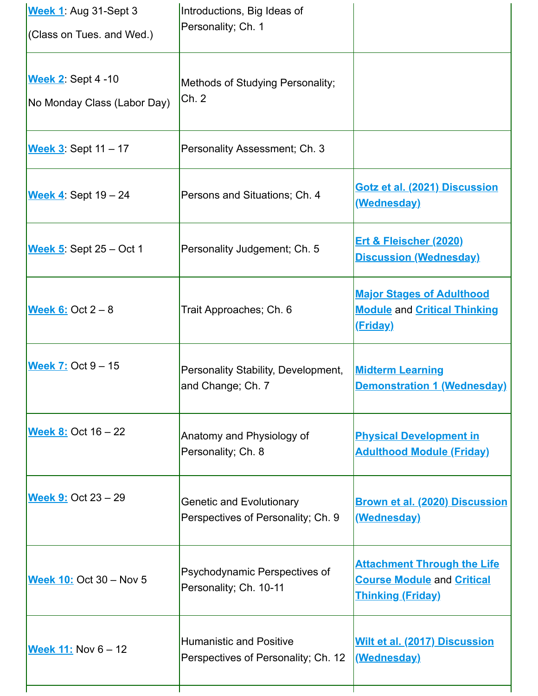| Week 1: Aug 31-Sept 3<br>$\sqrt{\text{Class on Tues.}}$ and Wed.) | Introductions, Big Ideas of<br>Personality; Ch. 1                     |                                                                                                     |
|-------------------------------------------------------------------|-----------------------------------------------------------------------|-----------------------------------------------------------------------------------------------------|
| <b>Week 2: Sept 4 -10</b><br>No Monday Class (Labor Day)          | Methods of Studying Personality;<br>Ch. 2                             |                                                                                                     |
| Week 3: Sept 11 - 17                                              | Personality Assessment; Ch. 3                                         |                                                                                                     |
| Week $4$ : Sept $19-24$                                           | Persons and Situations; Ch. 4                                         | <b>Gotz et al. (2021) Discussion</b><br><u>(Wednesday)</u>                                          |
| Week $5.$ Sept $25 - Oct 1$                                       | Personality Judgement; Ch. 5                                          | <b>Ert &amp; Fleischer (2020)</b><br><b>Discussion (Wednesday)</b>                                  |
| Week 6: Oct $2-8$                                                 | Trait Approaches; Ch. 6                                               | <b>Major Stages of Adulthood</b><br><b>Module and Critical Thinking</b><br><u>(Friday)</u>          |
| <b>Week 7: Oct 9 - 15</b>                                         | Personality Stability, Development,<br>and Change; Ch. 7              | <b>Midterm Learning</b><br><b>Demonstration 1 (Wednesday)</b>                                       |
| <b>Week 8: Oct 16 - 22</b>                                        | Anatomy and Physiology of<br>Personality; Ch. 8                       | <b>Physical Development in</b><br><b>Adulthood Module (Friday)</b>                                  |
| <b>Week 9: Oct 23 - 29</b>                                        | <b>Genetic and Evolutionary</b><br>Perspectives of Personality; Ch. 9 | <b>Brown et al. (2020) Discussion</b><br><u>(Wednesday)</u>                                         |
| <b>Week 10: Oct 30 - Nov 5</b>                                    | Psychodynamic Perspectives of<br>Personality; Ch. 10-11               | <b>Attachment Through the Life</b><br><b>Course Module and Critical</b><br><b>Thinking (Friday)</b> |
| Week 11: Nov 6 - 12                                               | <b>Humanistic and Positive</b><br>Perspectives of Personality; Ch. 12 | <b>Wilt et al. (2017) Discussion</b><br>(Wednesday)                                                 |
|                                                                   |                                                                       |                                                                                                     |